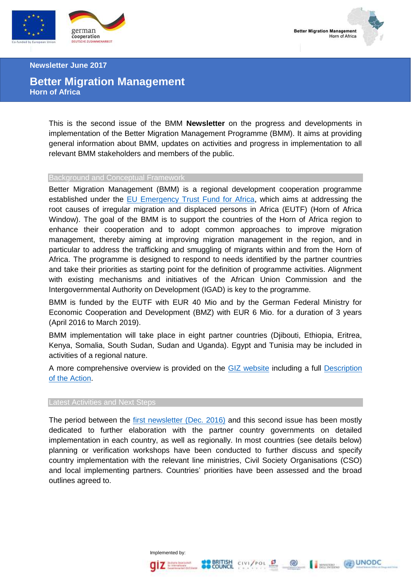





**I I SOUTHERN CO UNODC** 

**Newsletter June 2017**

**Better Migration Management Horn of Africa**

> This is the second issue of the BMM **Newsletter** on the progress and developments in implementation of the Better Migration Management Programme (BMM). It aims at providing general information about BMM, updates on activities and progress in implementation to all relevant BMM stakeholders and members of the public.

#### Background and Conceptual Framework

Better Migration Management (BMM) is a regional development cooperation programme established under the [EU Emergency Trust Fund for Africa,](http://ec.europa.eu/europeaid/regions/africa/eu-emergency-trust-fund/horn-africa) which aims at addressing the root causes of irregular migration and displaced persons in Africa (EUTF) (Horn of Africa Window). The goal of the BMM is to support the countries of the Horn of Africa region to enhance their cooperation and to adopt common approaches to improve migration management, thereby aiming at improving migration management in the region, and in particular to address the trafficking and smuggling of migrants within and from the Horn of Africa. The programme is designed to respond to needs identified by the partner countries and take their priorities as starting point for the definition of programme activities. Alignment with existing mechanisms and initiatives of the African Union Commission and the Intergovernmental Authority on Development (IGAD) is key to the programme.

BMM is funded by the EUTF with EUR 40 Mio and by the German Federal Ministry for Economic Cooperation and Development (BMZ) with EUR 6 Mio. for a duration of 3 years (April 2016 to March 2019).

BMM implementation will take place in eight partner countries (Djibouti, Ethiopia, Eritrea, Kenya, Somalia, South Sudan, Sudan and Uganda). Egypt and Tunisia may be included in activities of a regional nature.

A more comprehensive overview is provided on the [GIZ website](https://www.giz.de/en/worldwide/40602.html) including a full [Description](https://www.giz.de/en/downloads/giz2016-en-bmm-description-of-action.pdf)  of the [Action.](https://www.giz.de/en/downloads/giz2016-en-bmm-description-of-action.pdf)

#### Latest Activities and Next Steps

The period between the [first newsletter](https://www.giz.de/en/downloads/giz2016_en_Newsletter_BMM_1.pdf) (Dec. 2016) and this second issue has been mostly dedicated to further elaboration with the partner country governments on detailed implementation in each country, as well as regionally. In most countries (see details below) planning or verification workshops have been conducted to further discuss and specify country implementation with the relevant line ministries, Civil Society Organisations (CSO) and local implementing partners. Countries' priorities have been assessed and the broad outlines agreed to.

**DO BRITISH** 

 $CIV1/POL$ 

❀

Implemented by:

aiz ==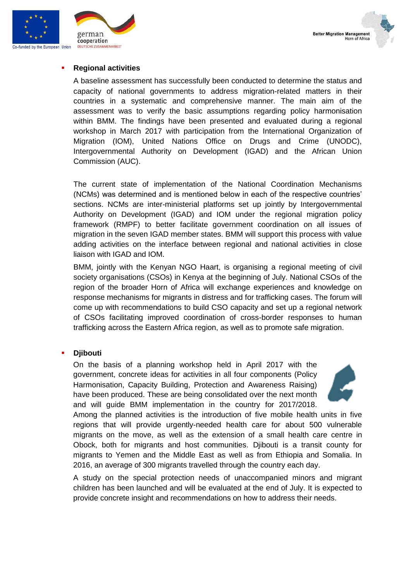



# **Regional activities**

A baseline assessment has successfully been conducted to determine the status and capacity of national governments to address migration-related matters in their countries in a systematic and comprehensive manner. The main aim of the assessment was to verify the basic assumptions regarding policy harmonisation within BMM. The findings have been presented and evaluated during a regional workshop in March 2017 with participation from the International Organization of Migration (IOM), United Nations Office on Drugs and Crime (UNODC), Intergovernmental Authority on Development (IGAD) and the African Union Commission (AUC).

The current state of implementation of the National Coordination Mechanisms (NCMs) was determined and is mentioned below in each of the respective countries' sections. NCMs are inter-ministerial platforms set up jointly by Intergovernmental Authority on Development (IGAD) and IOM under the regional migration policy framework (RMPF) to better facilitate government coordination on all issues of migration in the seven IGAD member states. BMM will support this process with value adding activities on the interface between regional and national activities in close liaison with IGAD and IOM.

BMM, jointly with the Kenyan NGO Haart, is organising a regional meeting of civil society organisations (CSOs) in Kenya at the beginning of July. National CSOs of the region of the broader Horn of Africa will exchange experiences and knowledge on response mechanisms for migrants in distress and for trafficking cases. The forum will come up with recommendations to build CSO capacity and set up a regional network of CSOs facilitating improved coordination of cross-border responses to human trafficking across the Eastern Africa region, as well as to promote safe migration.

# **Djibouti**

On the basis of a planning workshop held in April 2017 with the government, concrete ideas for activities in all four components (Policy Harmonisation, Capacity Building, Protection and Awareness Raising) have been produced. These are being consolidated over the next month and will guide BMM implementation in the country for 2017/2018.



Among the planned activities is the introduction of five mobile health units in five regions that will provide urgently-needed health care for about 500 vulnerable migrants on the move, as well as the extension of a small health care centre in Obock, both for migrants and host communities. Djibouti is a transit county for migrants to Yemen and the Middle East as well as from Ethiopia and Somalia. In 2016, an average of 300 migrants travelled through the country each day.

A study on the special protection needs of unaccompanied minors and migrant children has been launched and will be evaluated at the end of July. It is expected to provide concrete insight and recommendations on how to address their needs.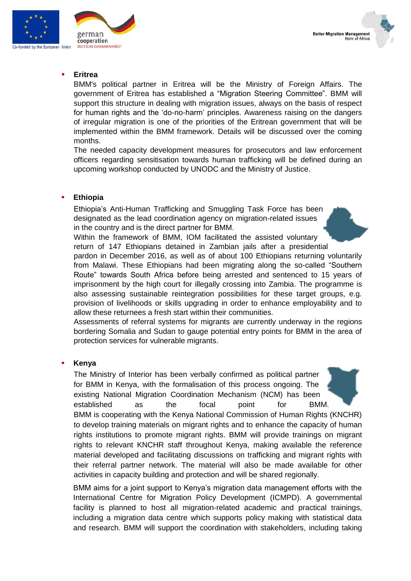



### **Eritrea**

BMM's political partner in Eritrea will be the Ministry of Foreign Affairs. The government of Eritrea has established a "Migration Steering Committee". BMM will support this structure in dealing with migration issues, always on the basis of respect for human rights and the 'do-no-harm' principles. Awareness raising on the dangers of irregular migration is one of the priorities of the Eritrean government that will be implemented within the BMM framework. Details will be discussed over the coming months.

The needed capacity development measures for prosecutors and law enforcement officers regarding sensitisation towards human trafficking will be defined during an upcoming workshop conducted by UNODC and the Ministry of Justice.

#### **Ethiopia**

Ethiopia's Anti-Human Trafficking and Smuggling Task Force has been designated as the lead coordination agency on migration-related issues in the country and is the direct partner for BMM.

Within the framework of BMM, IOM facilitated the assisted voluntary return of 147 Ethiopians detained in Zambian jails after a presidential

pardon in December 2016, as well as of about 100 Ethiopians returning voluntarily from Malawi. These Ethiopians had been migrating along the so-called "Southern Route" towards South Africa before being arrested and sentenced to 15 years of imprisonment by the high court for illegally crossing into Zambia. The programme is also assessing sustainable reintegration possibilities for these target groups, e.g. provision of livelihoods or skills upgrading in order to enhance employability and to allow these returnees a fresh start within their communities.

Assessments of referral systems for migrants are currently underway in the regions bordering Somalia and Sudan to gauge potential entry points for BMM in the area of protection services for vulnerable migrants.

# **Kenya**

The Ministry of Interior has been verbally confirmed as political partner for BMM in Kenya, with the formalisation of this process ongoing. The existing National Migration Coordination Mechanism (NCM) has been established as the focal point for BMM. BMM is cooperating with the Kenya National Commission of Human Rights (KNCHR) to develop training materials on migrant rights and to enhance the capacity of human

rights institutions to promote migrant rights. BMM will provide trainings on migrant rights to relevant KNCHR staff throughout Kenya, making available the reference material developed and facilitating discussions on trafficking and migrant rights with their referral partner network. The material will also be made available for other activities in capacity building and protection and will be shared regionally.

BMM aims for a joint support to Kenya's migration data management efforts with the International Centre for Migration Policy Development (ICMPD). A governmental facility is planned to host all migration-related academic and practical trainings, including a migration data centre which supports policy making with statistical data and research. BMM will support the coordination with stakeholders, including taking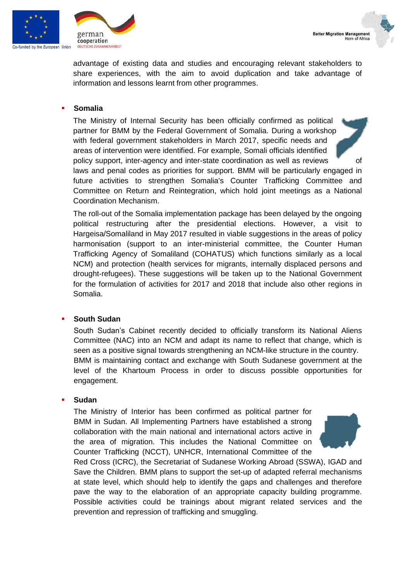



advantage of existing data and studies and encouraging relevant stakeholders to share experiences, with the aim to avoid duplication and take advantage of information and lessons learnt from other programmes.

# **Somalia**

The Ministry of Internal Security has been officially confirmed as political partner for BMM by the Federal Government of Somalia. During a workshop with federal government stakeholders in March 2017, specific needs and areas of intervention were identified. For example, Somali officials identified policy support, inter-agency and inter-state coordination as well as reviews  $\bullet$  of laws and penal codes as priorities for support. BMM will be particularly engaged in future activities to strengthen Somalia's Counter Trafficking Committee and Committee on Return and Reintegration, which hold joint meetings as a National Coordination Mechanism.

The roll-out of the Somalia implementation package has been delayed by the ongoing political restructuring after the presidential elections. However, a visit to Hargeisa/Somaliland in May 2017 resulted in viable suggestions in the areas of policy harmonisation (support to an inter-ministerial committee, the Counter Human Trafficking Agency of Somaliland (COHATUS) which functions similarly as a local NCM) and protection (health services for migrants, internally displaced persons and drought-refugees). These suggestions will be taken up to the National Government for the formulation of activities for 2017 and 2018 that include also other regions in Somalia.

#### **South Sudan**

South Sudan's Cabinet recently decided to officially transform its National Aliens Committee (NAC) into an NCM and adapt its name to reflect that change, which is seen as a positive signal towards strengthening an NCM-like structure in the country. BMM is maintaining contact and exchange with South Sudanese government at the level of the Khartoum Process in order to discuss possible opportunities for engagement.

#### **Sudan**

The Ministry of Interior has been confirmed as political partner for BMM in Sudan. All Implementing Partners have established a strong collaboration with the main national and international actors active in the area of migration. This includes the National Committee on Counter Trafficking (NCCT), UNHCR, International Committee of the



Red Cross (ICRC), the Secretariat of Sudanese Working Abroad (SSWA), IGAD and Save the Children. BMM plans to support the set-up of adapted referral mechanisms at state level, which should help to identify the gaps and challenges and therefore pave the way to the elaboration of an appropriate capacity building programme. Possible activities could be trainings about migrant related services and the prevention and repression of trafficking and smuggling.